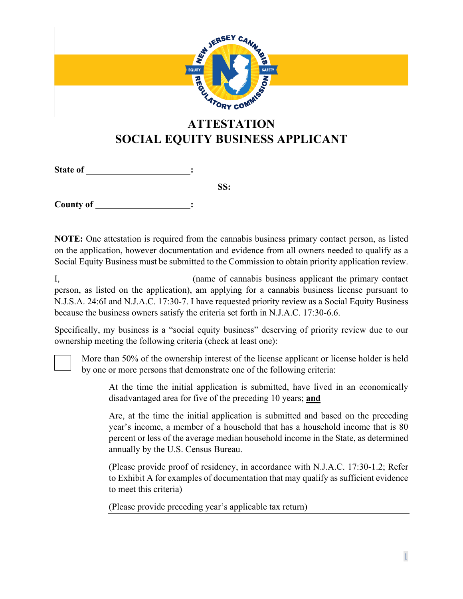

## **SOCIAL EQUITY BUSINESS APPLICANT**

**State of :**

**SS:**

**County of :**

**NOTE:** One attestation is required from the cannabis business primary contact person, as listed on the application, however documentation and evidence from all owners needed to qualify as a Social Equity Business must be submitted to the Commission to obtain priority application review.

I, (name of cannabis business applicant the primary contact person, as listed on the application), am applying for a cannabis business license pursuant to N.J.S.A. 24:6I and N.J.A.C. 17:30-7. I have requested priority review as a Social Equity Business because the business owners satisfy the criteria set forth in N.J.A.C. 17:30-6.6.

Specifically, my business is a "social equity business" deserving of priority review due to our ownership meeting the following criteria (check at least one):

More than 50% of the ownership interest of the license applicant or license holder is held by one or more persons that demonstrate one of the following criteria:

At the time the initial application is submitted, have lived in an economically disadvantaged area for five of the preceding 10 years; **and**

Are, at the time the initial application is submitted and based on the preceding year's income, a member of a household that has a household income that is 80 percent or less of the average median household income in the State, as determined annually by the U.S. Census Bureau.

(Please provide proof of residency, in accordance with N.J.A.C. 17:30-1.2; Refer to Exhibit A for examples of documentation that may qualify as sufficient evidence to meet this criteria)

(Please provide preceding year's applicable tax return)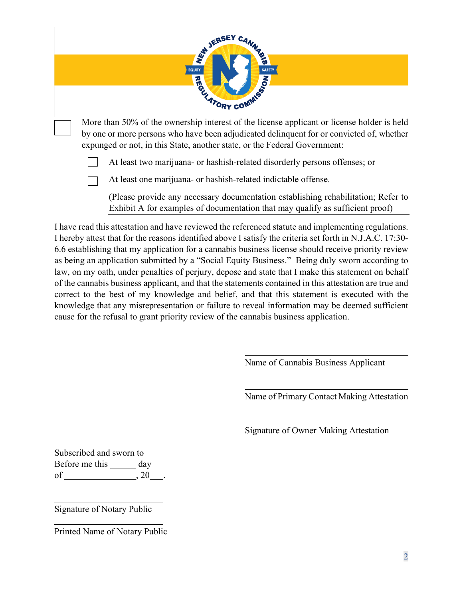

- by one or more persons who have been adjudicated delinquent for or convicted of, whether expunged or not, in this State, another state, or the Federal Government:
	- At least two marijuana- or hashish-related disorderly persons offenses; or  $\overline{a}$

At least one marijuana- or hashish-related indictable offense.  $\overline{a}$ 

(Please provide any necessary documentation establishing rehabilitation; Refer to Exhibit A for examples of documentation that may qualify as sufficient proof)

I have read this attestation and have reviewed the referenced statute and implementing regulations. I hereby attest that for the reasons identified above I satisfy the criteria set forth in N.J.A.C. 17:30- 6.6 establishing that my application for a cannabis business license should receive priority review as being an application submitted by a "Social Equity Business." Being duly sworn according to law, on my oath, under penalties of perjury, depose and state that I make this statement on behalf of the cannabis business applicant, and that the statements contained in this attestation are true and correct to the best of my knowledge and belief, and that this statement is executed with the knowledge that any misrepresentation or failure to reveal information may be deemed sufficient cause for the refusal to grant priority review of the cannabis business application.

Name of Cannabis Business Applicant

Name of Primary Contact Making Attestation

Signature of Owner Making Attestation

Subscribed and sworn to Before me this day of , 20 .

Signature of Notary Public

Printed Name of Notary Public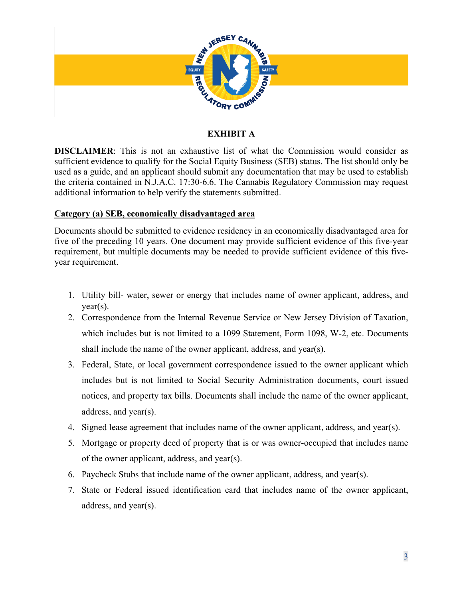

## **EXHIBIT A**

**DISCLAIMER**: This is not an exhaustive list of what the Commission would consider as sufficient evidence to qualify for the Social Equity Business (SEB) status. The list should only be used as a guide, and an applicant should submit any documentation that may be used to establish the criteria contained in N.J.A.C. 17:30-6.6. The Cannabis Regulatory Commission may request additional information to help verify the statements submitted.

## **Category (a) SEB, economically disadvantaged area**

Documents should be submitted to evidence residency in an economically disadvantaged area for five of the preceding 10 years. One document may provide sufficient evidence of this five-year requirement, but multiple documents may be needed to provide sufficient evidence of this fiveyear requirement.

- 1. Utility bill- water, sewer or energy that includes name of owner applicant, address, and year(s).
- 2. Correspondence from the Internal Revenue Service or New Jersey Division of Taxation, which includes but is not limited to a 1099 Statement, Form 1098, W-2, etc. Documents shall include the name of the owner applicant, address, and year(s).
- 3. Federal, State, or local government correspondence issued to the owner applicant which includes but is not limited to Social Security Administration documents, court issued notices, and property tax bills. Documents shall include the name of the owner applicant, address, and year(s).
- 4. Signed lease agreement that includes name of the owner applicant, address, and year(s).
- 5. Mortgage or property deed of property that is or was owner-occupied that includes name of the owner applicant, address, and year(s).
- 6. Paycheck Stubs that include name of the owner applicant, address, and year(s).
- 7. State or Federal issued identification card that includes name of the owner applicant, address, and year(s).